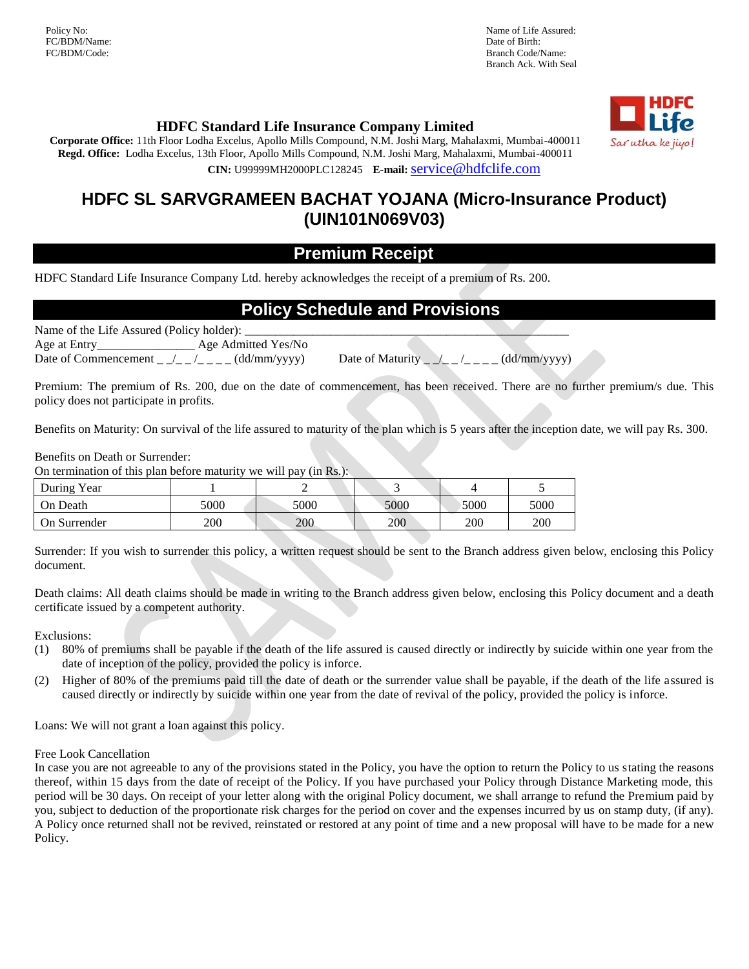FC/BDM/Name: Date of Birth: Date of Birth: Date of Birth: Date of Birth: Date of Birth: Date of Birth: Date of Birth: Date of Birth: Date of Birth: Date of Birth: Date of Birth: Date of Birth: Date of Birth: Date of Birth:

Policy No: Name of Life Assured: Branch Code/Name: Branch Ack. With Seal



### **HDFC Standard Life Insurance Company Limited**

**Corporate Office:** 11th Floor Lodha Excelus, Apollo Mills Compound, N.M. Joshi Marg, Mahalaxmi, Mumbai-400011 **Regd. Office:** Lodha Excelus, 13th Floor, Apollo Mills Compound, N.M. Joshi Marg, Mahalaxmi, Mumbai-400011 **CIN:** U99999MH2000PLC128245 **E-mail:**[service@hdfclife.com](mailto:service@hdfclife.com)

## **HDFC SL SARVGRAMEEN BACHAT YOJANA (Micro-Insurance Product) (UIN101N069V03)**

### **Premium Receipt**

HDFC Standard Life Insurance Company Ltd. hereby acknowledges the receipt of a premium of Rs. 200.

### **Policy Schedule and Provisions**

Name of the Life Assured (Policy holder):

Age at Entry\_\_\_\_\_\_\_\_\_\_\_\_\_\_\_\_ Age Admitted Yes/No

Date of Commencement \_ \_/\_ \_ /\_ \_ \_ \_ (dd/mm/yyyy) Date of Maturity \_ \_/\_ \_ /\_ \_ \_ \_ (dd/mm/yyyy)

Premium: The premium of Rs. 200, due on the date of commencement, has been received. There are no further premium/s due. This policy does not participate in profits.

Benefits on Maturity: On survival of the life assured to maturity of the plan which is 5 years after the inception date, we will pay Rs. 300.

Benefits on Death or Surrender:

On termination of this plan before maturity we will pay (in Rs.):

| During Year  |      |      |      |      |      |
|--------------|------|------|------|------|------|
| On Death     | 5000 | 5000 | 5000 | 5000 | 5000 |
| On Surrender | 200  | 200  | 200  | 200  | 200  |

Surrender: If you wish to surrender this policy, a written request should be sent to the Branch address given below, enclosing this Policy document.

Death claims: All death claims should be made in writing to the Branch address given below, enclosing this Policy document and a death certificate issued by a competent authority.

Exclusions:

- (1) 80% of premiums shall be payable if the death of the life assured is caused directly or indirectly by suicide within one year from the date of inception of the policy, provided the policy is inforce.
- (2) Higher of 80% of the premiums paid till the date of death or the surrender value shall be payable, if the death of the life assured is caused directly or indirectly by suicide within one year from the date of revival of the policy, provided the policy is inforce.

Loans: We will not grant a loan against this policy.

Free Look Cancellation

In case you are not agreeable to any of the provisions stated in the Policy, you have the option to return the Policy to us stating the reasons thereof, within 15 days from the date of receipt of the Policy. If you have purchased your Policy through Distance Marketing mode, this period will be 30 days. On receipt of your letter along with the original Policy document, we shall arrange to refund the Premium paid by you, subject to deduction of the proportionate risk charges for the period on cover and the expenses incurred by us on stamp duty, (if any). A Policy once returned shall not be revived, reinstated or restored at any point of time and a new proposal will have to be made for a new Policy.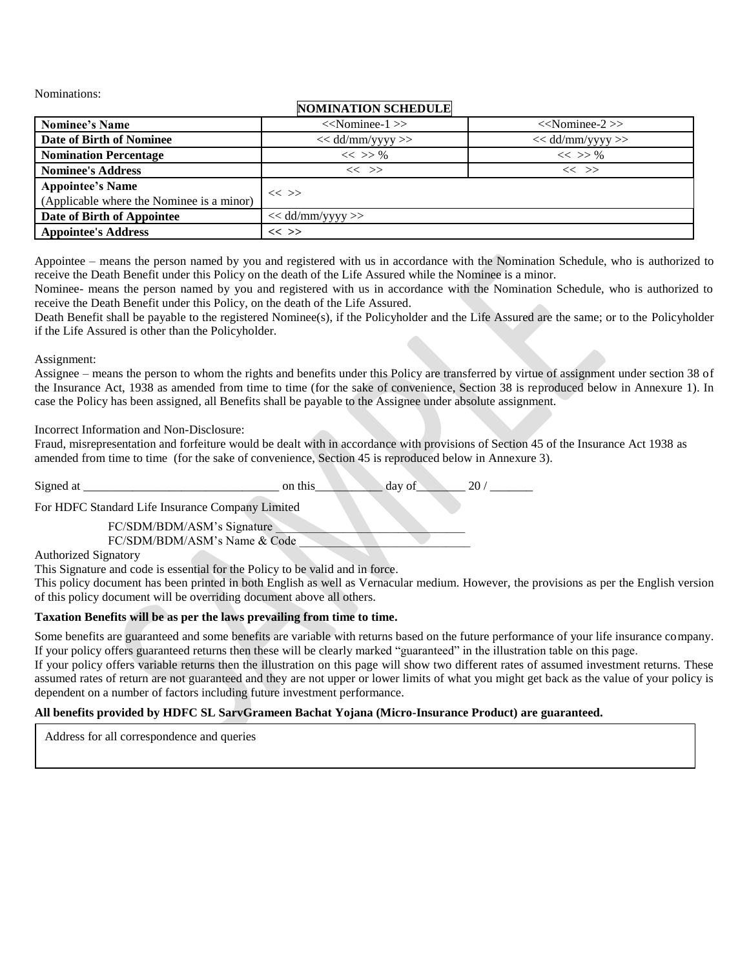Nominations:

### **NOMINATION SCHEDULE**

| <b>Nominee's Name</b>                                                | $<<$ Nominee-1 $>>$ | $<<$ Nominee-2 $>>$ |
|----------------------------------------------------------------------|---------------------|---------------------|
| Date of Birth of Nominee                                             | $<<$ dd/mm/yyyy >>  | $<<$ dd/mm/yyyy >>  |
| <b>Nomination Percentage</b>                                         | $<<$ >> %           | $<<$ >> %           |
| <b>Nominee's Address</b>                                             | $<<$ $>>$           | $<<$ $>>$           |
| <b>Appointee's Name</b><br>(Applicable where the Nominee is a minor) | $<<$ >>             |                     |
| Date of Birth of Appointee                                           | $<<$ dd/mm/yyyy >>  |                     |
| <b>Appointee's Address</b>                                           | $<<$ >>             |                     |

Appointee – means the person named by you and registered with us in accordance with the Nomination Schedule, who is authorized to receive the Death Benefit under this Policy on the death of the Life Assured while the Nominee is a minor.

Nominee- means the person named by you and registered with us in accordance with the Nomination Schedule, who is authorized to receive the Death Benefit under this Policy, on the death of the Life Assured.

Death Benefit shall be payable to the registered Nominee(s), if the Policyholder and the Life Assured are the same; or to the Policyholder if the Life Assured is other than the Policyholder.

#### Assignment:

Assignee – means the person to whom the rights and benefits under this Policy are transferred by virtue of assignment under section 38 of the Insurance Act, 1938 as amended from time to time (for the sake of convenience, Section 38 is reproduced below in Annexure 1). In case the Policy has been assigned, all Benefits shall be payable to the Assignee under absolute assignment.

### Incorrect Information and Non-Disclosure:

Fraud, misrepresentation and forfeiture would be dealt with in accordance with provisions of Section 45 of the Insurance Act 1938 as amended from time to time (for the sake of convenience, Section 45 is reproduced below in Annexure 3).

Signed at  $\frac{1}{20}$  on this  $\frac{1}{20}$  day of  $\frac{20}{20}$ 

For HDFC Standard Life Insurance Company Limited

FC/SDM/BDM/ASM's Signature

FC/SDM/BDM/ASM's Name & Code

Authorized Signatory

This Signature and code is essential for the Policy to be valid and in force.

This policy document has been printed in both English as well as Vernacular medium. However, the provisions as per the English version of this policy document will be overriding document above all others.

### **Taxation Benefits will be as per the laws prevailing from time to time.**

Some benefits are guaranteed and some benefits are variable with returns based on the future performance of your life insurance company. If your policy offers guaranteed returns then these will be clearly marked "guaranteed" in the illustration table on this page.

If your policy offers variable returns then the illustration on this page will show two different rates of assumed investment returns. These assumed rates of return are not guaranteed and they are not upper or lower limits of what you might get back as the value of your policy is dependent on a number of factors including future investment performance.

### **All benefits provided by HDFC SL SarvGrameen Bachat Yojana (Micro-Insurance Product) are guaranteed.**

Address for all correspondence and queries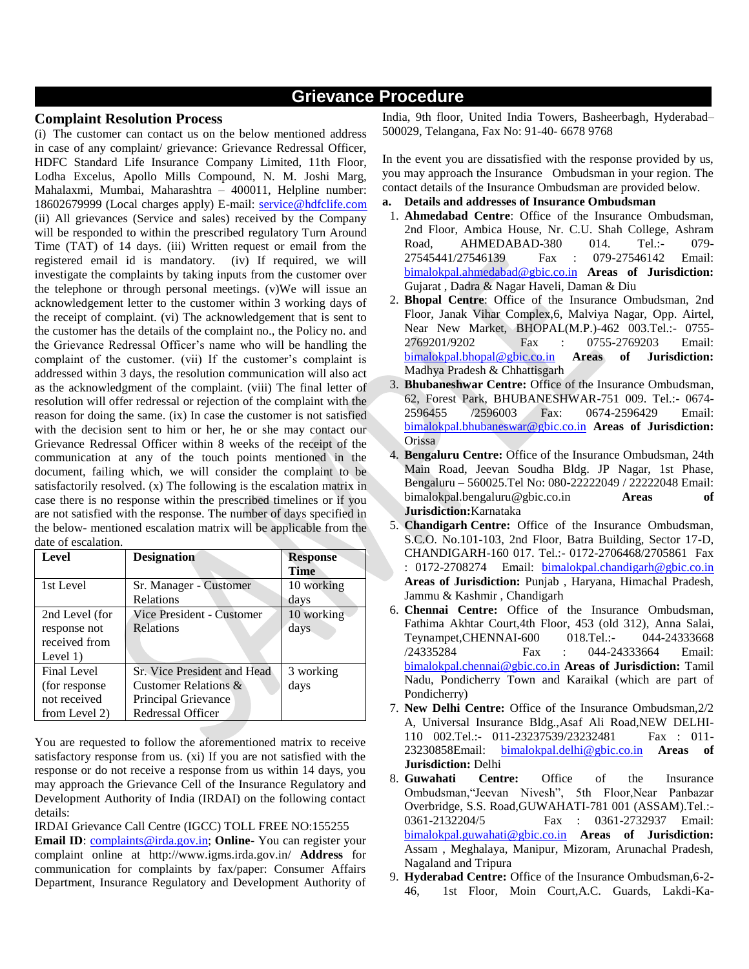### **Grievance Procedure**

#### **Complaint Resolution Process**

(i) The customer can contact us on the below mentioned address in case of any complaint/ grievance: Grievance Redressal Officer, HDFC Standard Life Insurance Company Limited, 11th Floor, Lodha Excelus, Apollo Mills Compound, N. M. Joshi Marg, Mahalaxmi, Mumbai, Maharashtra – 400011, Helpline number: 18602679999 (Local charges apply) E-mail: [service@hdfclife.com](mailto:service@hdfclife.com) (ii) All grievances (Service and sales) received by the Company will be responded to within the prescribed regulatory Turn Around Time (TAT) of 14 days. (iii) Written request or email from the registered email id is mandatory. (iv) If required, we will investigate the complaints by taking inputs from the customer over the telephone or through personal meetings. (v)We will issue an acknowledgement letter to the customer within 3 working days of the receipt of complaint. (vi) The acknowledgement that is sent to the customer has the details of the complaint no., the Policy no. and the Grievance Redressal Officer's name who will be handling the complaint of the customer. (vii) If the customer's complaint is addressed within 3 days, the resolution communication will also act as the acknowledgment of the complaint. (viii) The final letter of resolution will offer redressal or rejection of the complaint with the reason for doing the same. (ix) In case the customer is not satisfied with the decision sent to him or her, he or she may contact our Grievance Redressal Officer within 8 weeks of the receipt of the communication at any of the touch points mentioned in the document, failing which, we will consider the complaint to be satisfactorily resolved. (x) The following is the escalation matrix in case there is no response within the prescribed timelines or if you are not satisfied with the response. The number of days specified in the below- mentioned escalation matrix will be applicable from the date of escalation.

| Level          | <b>Designation</b>          | <b>Response</b> |  |
|----------------|-----------------------------|-----------------|--|
|                |                             | <b>Time</b>     |  |
| 1st Level      | Sr. Manager - Customer      | 10 working      |  |
|                | Relations                   | days            |  |
| 2nd Level (for | Vice President - Customer   | 10 working      |  |
| response not   | <b>Relations</b>            | days            |  |
| received from  |                             |                 |  |
| Level $1)$     |                             |                 |  |
| Final Level    | Sr. Vice President and Head | 3 working       |  |
| (for response) | Customer Relations &        | days            |  |
| not received   | Principal Grievance         |                 |  |
| from Level 2)  | Redressal Officer           |                 |  |

You are requested to follow the aforementioned matrix to receive satisfactory response from us. (xi) If you are not satisfied with the response or do not receive a response from us within 14 days, you may approach the Grievance Cell of the Insurance Regulatory and Development Authority of India (IRDAI) on the following contact details:

IRDAI Grievance Call Centre (IGCC) TOLL FREE NO:155255

**Email ID**: *complaints@irda.gov.in;* **Online**- You can register your complaint online at http://www.igms.irda.gov.in/ **Address** for communication for complaints by fax/paper: Consumer Affairs Department, Insurance Regulatory and Development Authority of

India, 9th floor, United India Towers, Basheerbagh, Hyderabad– 500029, Telangana, Fax No: 91-40- 6678 9768

In the event you are dissatisfied with the response provided by us, you may approach the Insurance Ombudsman in your region. The contact details of the Insurance Ombudsman are provided below.

- **a. Details and addresses of Insurance Ombudsman**
- 1. **Ahmedabad Centre**: Office of the Insurance Ombudsman, 2nd Floor, Ambica House, Nr. C.U. Shah College, Ashram Road, AHMEDABAD-380 014. Tel.:- 079- 27545441/27546139 Fax : 079-27546142 Email: [bimalokpal.ahmedabad@gbic.co.in](mailto:bimalokpal.ahmedabad@gbic.co.in) **Areas of Jurisdiction:**  Gujarat , Dadra & Nagar Haveli, Daman & Diu
- 2. **Bhopal Centre**: Office of the Insurance Ombudsman, 2nd Floor, Janak Vihar Complex,6, Malviya Nagar, Opp. Airtel, Near New Market, BHOPAL(M.P.)-462 003.Tel.:- 0755- 2769201/9202 Fax : 0755-2769203 Email: [bimalokpal.bhopal@gbic.co.in](mailto:bimalokpal.bhopal@gbic.co.in) **Areas of Jurisdiction:**  Madhya Pradesh & Chhattisgarh
- 3. **Bhubaneshwar Centre:** Office of the Insurance Ombudsman, 62, Forest Park, BHUBANESHWAR-751 009. Tel.:- 0674- 2596455 /2596003 Fax: 0674-2596429 Email: [bimalokpal.bhubaneswar@gbic.co.in](mailto:bimalokpal.bhubaneswar@gbic.co.in) **Areas of Jurisdiction:**  Orissa
- 4. **Bengaluru Centre:** Office of the Insurance Ombudsman, 24th Main Road, Jeevan Soudha Bldg. JP Nagar, 1st Phase, Bengaluru – 560025.Tel No: 080-22222049 / 22222048 Email: bimalokpal.bengaluru@gbic.co.in **Areas of Jurisdiction:**Karnataka
- 5. **Chandigarh Centre:** Office of the Insurance Ombudsman, S.C.O. No.101-103, 2nd Floor, Batra Building, Sector 17-D, CHANDIGARH-160 017. Tel.:- 0172-2706468/2705861 Fax : 0172-2708274 Email: [bimalokpal.chandigarh@gbic.co.in](mailto:bimalokpal.chandigarh@gbic.co.in) **Areas of Jurisdiction:** Punjab , Haryana, Himachal Pradesh, Jammu & Kashmir , Chandigarh
- 6. **Chennai Centre:** Office of the Insurance Ombudsman, Fathima Akhtar Court,4th Floor, 453 (old 312), Anna Salai, Teynampet,CHENNAI-600 018.Tel.:- 044-24333668 /24335284 Fax : 044-24333664 Email: [bimalokpal.chennai@gbic.co.in](mailto:bimalokpal.chennai@gbic.co.in) **Areas of Jurisdiction:** Tamil Nadu, Pondicherry Town and Karaikal (which are part of Pondicherry)
- 7. **New Delhi Centre:** Office of the Insurance Ombudsman,2/2 A, Universal Insurance Bldg.,Asaf Ali Road,NEW DELHI-110 002.Tel.:- 011-23237539/23232481 Fax : 011- 23230858Email: [bimalokpal.delhi@gbic.co.in](mailto:bimalokpal.delhi@gbic.co.in) **Areas of Jurisdiction:** Delhi
- 8. **Guwahati Centre:** Office of the Insurance Ombudsman,"Jeevan Nivesh", 5th Floor,Near Panbazar Overbridge, S.S. Road,GUWAHATI-781 001 (ASSAM).Tel.:- 0361-2132204/5 Fax : 0361-2732937 Email: [bimalokpal.guwahati@gbic.co.in](mailto:bimalokpal.guwahati@gbic.co.in) **Areas of Jurisdiction:**  Assam , Meghalaya, Manipur, Mizoram, Arunachal Pradesh, Nagaland and Tripura
- 9. **Hyderabad Centre:** Office of the Insurance Ombudsman,6-2- 46, 1st Floor, Moin Court,A.C. Guards, Lakdi-Ka-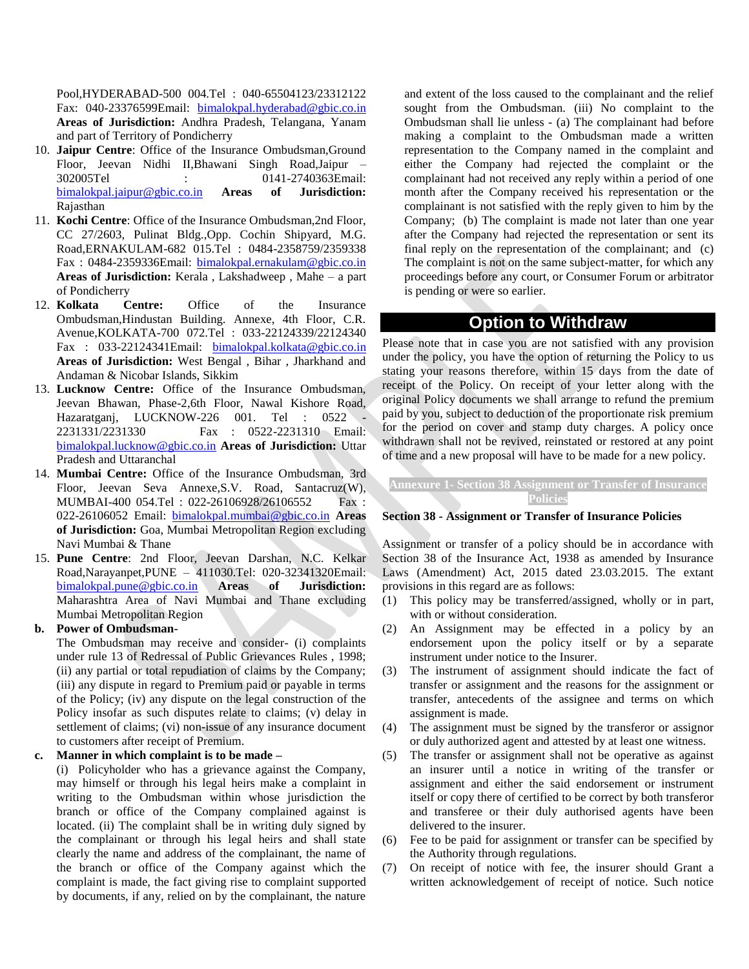Pool,HYDERABAD-500 004.Tel : 040-65504123/23312122 Fax: 040-23376599Email: [bimalokpal.hyderabad@gbic.co.in](mailto:bimalokpal.hyderabad@gbic.co.in) **Areas of Jurisdiction:** Andhra Pradesh, Telangana, Yanam and part of Territory of Pondicherry

- 10. **Jaipur Centre**: Office of the Insurance Ombudsman,Ground Floor, Jeevan Nidhi II,Bhawani Singh Road,Jaipur – 302005Tel : 0141-2740363Email: [bimalokpal.jaipur@gbic.co.in](mailto:bimalokpal.jaipur@gbic.co.in) **Areas of Jurisdiction:** Rajasthan
- 11. **Kochi Centre**: Office of the Insurance Ombudsman,2nd Floor, CC 27/2603, Pulinat Bldg.,Opp. Cochin Shipyard, M.G. Road,ERNAKULAM-682 015.Tel : 0484-2358759/2359338 Fax: 0484-2359336Email: [bimalokpal.ernakulam@gbic.co.in](mailto:bimalokpal.ernakulam@gbic.co.in) **Areas of Jurisdiction:** Kerala , Lakshadweep , Mahe – a part of Pondicherry
- 12. **Kolkata Centre:** Office of the Insurance Ombudsman,Hindustan Building. Annexe, 4th Floor, C.R. Avenue,KOLKATA-700 072.Tel : 033-22124339/22124340 Fax : 033-22124341Email: [bimalokpal.kolkata@gbic.co.in](mailto:bimalokpal.kolkata@gbic.co.in) **Areas of Jurisdiction:** West Bengal , Bihar , Jharkhand and Andaman & Nicobar Islands, Sikkim
- 13. **Lucknow Centre:** Office of the Insurance Ombudsman, Jeevan Bhawan, Phase-2,6th Floor, Nawal Kishore Road, Hazaratganj, LUCKNOW-226 001. Tel : 0522 2231331/2231330 Fax : 0522-2231310 Email: [bimalokpal.lucknow@gbic.co.in](mailto:bimalokpal.lucknow@gbic.co.in) **Areas of Jurisdiction:** Uttar Pradesh and Uttaranchal
- 14. **Mumbai Centre:** Office of the Insurance Ombudsman, 3rd Floor, Jeevan Seva Annexe,S.V. Road, Santacruz(W), MUMBAI-400 054.Tel : 022-26106928/26106552 Fax : 022-26106052 Email: [bimalokpal.mumbai@gbic.co.in](mailto:bimalokpal.mumbai@gbic.co.in) **Areas of Jurisdiction:** Goa, Mumbai Metropolitan Region excluding Navi Mumbai & Thane
- 15. **Pune Centre**: 2nd Floor, Jeevan Darshan, N.C. Kelkar Road,Narayanpet,PUNE – 411030.Tel: 020-32341320Email: [bimalokpal.pune@gbic.co.in](mailto:bimalokpal.pune@gbic.co.in) **Areas of Jurisdiction:** Maharashtra Area of Navi Mumbai and Thane excluding Mumbai Metropolitan Region

#### **b. Power of Ombudsman-**

The Ombudsman may receive and consider- (i) complaints under rule 13 of Redressal of Public Grievances Rules , 1998; (ii) any partial or total repudiation of claims by the Company; (iii) any dispute in regard to Premium paid or payable in terms of the Policy; (iv) any dispute on the legal construction of the Policy insofar as such disputes relate to claims; (v) delay in settlement of claims; (vi) non-issue of any insurance document to customers after receipt of Premium.

#### **c. Manner in which complaint is to be made –**

(i) Policyholder who has a grievance against the Company, may himself or through his legal heirs make a complaint in writing to the Ombudsman within whose jurisdiction the branch or office of the Company complained against is located. (ii) The complaint shall be in writing duly signed by the complainant or through his legal heirs and shall state clearly the name and address of the complainant, the name of the branch or office of the Company against which the complaint is made, the fact giving rise to complaint supported by documents, if any, relied on by the complainant, the nature

and extent of the loss caused to the complainant and the relief sought from the Ombudsman. (iii) No complaint to the Ombudsman shall lie unless - (a) The complainant had before making a complaint to the Ombudsman made a written representation to the Company named in the complaint and either the Company had rejected the complaint or the complainant had not received any reply within a period of one month after the Company received his representation or the complainant is not satisfied with the reply given to him by the Company; (b) The complaint is made not later than one year after the Company had rejected the representation or sent its final reply on the representation of the complainant; and (c) The complaint is not on the same subject-matter, for which any proceedings before any court, or Consumer Forum or arbitrator is pending or were so earlier.

### **Option to Withdraw**

Please note that in case you are not satisfied with any provision under the policy, you have the option of returning the Policy to us stating your reasons therefore, within 15 days from the date of receipt of the Policy. On receipt of your letter along with the original Policy documents we shall arrange to refund the premium paid by you, subject to deduction of the proportionate risk premium for the period on cover and stamp duty charges. A policy once withdrawn shall not be revived, reinstated or restored at any point of time and a new proposal will have to be made for a new policy.

### **Annexure 1- Section 38 Assignment or Transfer of Insurance Policies**

#### **Section 38 - Assignment or Transfer of Insurance Policies**

Assignment or transfer of a policy should be in accordance with Section 38 of the Insurance Act, 1938 as amended by Insurance Laws (Amendment) Act, 2015 dated 23.03.2015. The extant provisions in this regard are as follows:

- (1) This policy may be transferred/assigned, wholly or in part, with or without consideration.
- (2) An Assignment may be effected in a policy by an endorsement upon the policy itself or by a separate instrument under notice to the Insurer.
- (3) The instrument of assignment should indicate the fact of transfer or assignment and the reasons for the assignment or transfer, antecedents of the assignee and terms on which assignment is made.
- (4) The assignment must be signed by the transferor or assignor or duly authorized agent and attested by at least one witness.
- (5) The transfer or assignment shall not be operative as against an insurer until a notice in writing of the transfer or assignment and either the said endorsement or instrument itself or copy there of certified to be correct by both transferor and transferee or their duly authorised agents have been delivered to the insurer.
- (6) Fee to be paid for assignment or transfer can be specified by the Authority through regulations.
- (7) On receipt of notice with fee, the insurer should Grant a written acknowledgement of receipt of notice. Such notice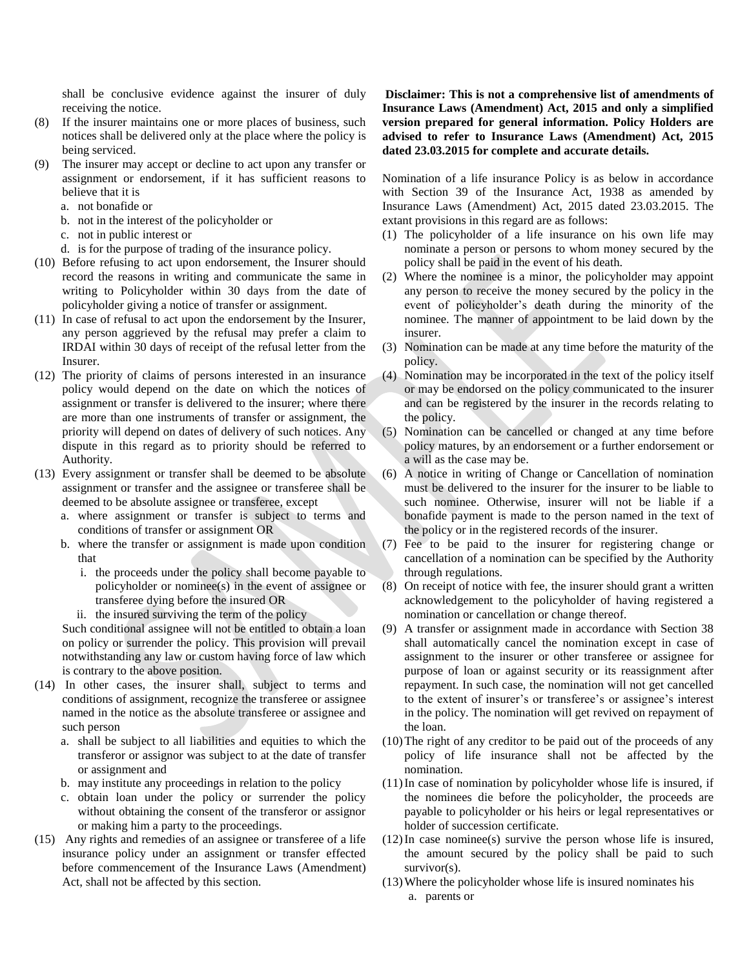shall be conclusive evidence against the insurer of duly receiving the notice.

- (8) If the insurer maintains one or more places of business, such notices shall be delivered only at the place where the policy is being serviced.
- (9) The insurer may accept or decline to act upon any transfer or assignment or endorsement, if it has sufficient reasons to believe that it is
	- a. not bonafide or
	- b. not in the interest of the policyholder or
	- c. not in public interest or
	- d. is for the purpose of trading of the insurance policy.
- (10) Before refusing to act upon endorsement, the Insurer should record the reasons in writing and communicate the same in writing to Policyholder within 30 days from the date of policyholder giving a notice of transfer or assignment.
- (11) In case of refusal to act upon the endorsement by the Insurer, any person aggrieved by the refusal may prefer a claim to IRDAI within 30 days of receipt of the refusal letter from the Insurer.
- (12) The priority of claims of persons interested in an insurance policy would depend on the date on which the notices of assignment or transfer is delivered to the insurer; where there are more than one instruments of transfer or assignment, the priority will depend on dates of delivery of such notices. Any dispute in this regard as to priority should be referred to Authority.
- (13) Every assignment or transfer shall be deemed to be absolute assignment or transfer and the assignee or transferee shall be deemed to be absolute assignee or transferee, except
	- a. where assignment or transfer is subject to terms and conditions of transfer or assignment OR
	- b. where the transfer or assignment is made upon condition that
		- i. the proceeds under the policy shall become payable to policyholder or nominee(s) in the event of assignee or transferee dying before the insured OR
		- ii. the insured surviving the term of the policy

Such conditional assignee will not be entitled to obtain a loan on policy or surrender the policy. This provision will prevail notwithstanding any law or custom having force of law which is contrary to the above position.

- (14) In other cases, the insurer shall, subject to terms and conditions of assignment, recognize the transferee or assignee named in the notice as the absolute transferee or assignee and such person
	- a. shall be subject to all liabilities and equities to which the transferor or assignor was subject to at the date of transfer or assignment and
	- b. may institute any proceedings in relation to the policy
	- c. obtain loan under the policy or surrender the policy without obtaining the consent of the transferor or assignor or making him a party to the proceedings.
- (15) Any rights and remedies of an assignee or transferee of a life insurance policy under an assignment or transfer effected before commencement of the Insurance Laws (Amendment) Act, shall not be affected by this section.

**Disclaimer: This is not a comprehensive list of amendments of Insurance Laws (Amendment) Act, 2015 and only a simplified version prepared for general information. Policy Holders are advised to refer to Insurance Laws (Amendment) Act, 2015 dated 23.03.2015 for complete and accurate details.** 

Nomination of a life insurance Policy is as below in accordance with Section 39 of the Insurance Act, 1938 as amended by Insurance Laws (Amendment) Act, 2015 dated 23.03.2015. The extant provisions in this regard are as follows:

- (1) The policyholder of a life insurance on his own life may nominate a person or persons to whom money secured by the policy shall be paid in the event of his death.
- (2) Where the nominee is a minor, the policyholder may appoint any person to receive the money secured by the policy in the event of policyholder's death during the minority of the nominee. The manner of appointment to be laid down by the insurer.
- (3) Nomination can be made at any time before the maturity of the policy.
- (4) Nomination may be incorporated in the text of the policy itself or may be endorsed on the policy communicated to the insurer and can be registered by the insurer in the records relating to the policy.
- (5) Nomination can be cancelled or changed at any time before policy matures, by an endorsement or a further endorsement or a will as the case may be.
- (6) A notice in writing of Change or Cancellation of nomination must be delivered to the insurer for the insurer to be liable to such nominee. Otherwise, insurer will not be liable if a bonafide payment is made to the person named in the text of the policy or in the registered records of the insurer.
- (7) Fee to be paid to the insurer for registering change or cancellation of a nomination can be specified by the Authority through regulations.
- (8) On receipt of notice with fee, the insurer should grant a written acknowledgement to the policyholder of having registered a nomination or cancellation or change thereof.
- (9) A transfer or assignment made in accordance with Section 38 shall automatically cancel the nomination except in case of assignment to the insurer or other transferee or assignee for purpose of loan or against security or its reassignment after repayment. In such case, the nomination will not get cancelled to the extent of insurer's or transferee's or assignee's interest in the policy. The nomination will get revived on repayment of the loan.
- (10)The right of any creditor to be paid out of the proceeds of any policy of life insurance shall not be affected by the nomination.
- (11)In case of nomination by policyholder whose life is insured, if the nominees die before the policyholder, the proceeds are payable to policyholder or his heirs or legal representatives or holder of succession certificate.
- $(12)$ In case nominee(s) survive the person whose life is insured, the amount secured by the policy shall be paid to such survivor(s).
- (13)Where the policyholder whose life is insured nominates his
	- a. parents or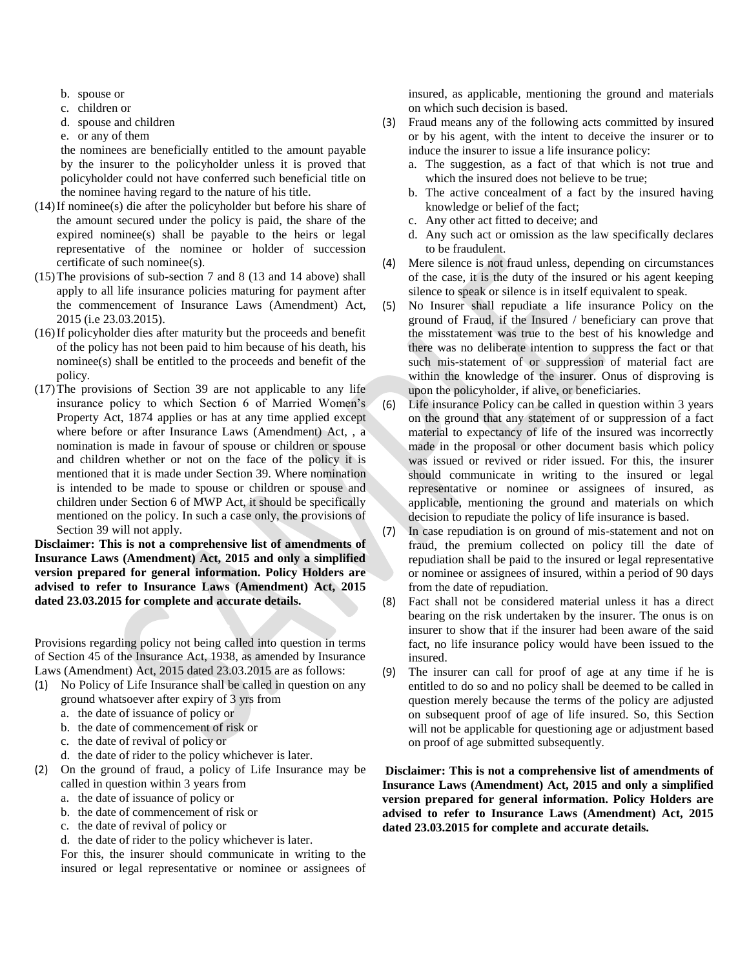- b. spouse or
- c. children or
- d. spouse and children
- e. or any of them

the nominees are beneficially entitled to the amount payable by the insurer to the policyholder unless it is proved that policyholder could not have conferred such beneficial title on the nominee having regard to the nature of his title.

- (14)If nominee(s) die after the policyholder but before his share of the amount secured under the policy is paid, the share of the expired nominee(s) shall be payable to the heirs or legal representative of the nominee or holder of succession certificate of such nominee(s).
- (15)The provisions of sub-section 7 and 8 (13 and 14 above) shall apply to all life insurance policies maturing for payment after the commencement of Insurance Laws (Amendment) Act, 2015 (i.e 23.03.2015).
- (16)If policyholder dies after maturity but the proceeds and benefit of the policy has not been paid to him because of his death, his nominee(s) shall be entitled to the proceeds and benefit of the policy.
- (17)The provisions of Section 39 are not applicable to any life insurance policy to which Section 6 of Married Women's Property Act, 1874 applies or has at any time applied except where before or after Insurance Laws (Amendment) Act, , a nomination is made in favour of spouse or children or spouse and children whether or not on the face of the policy it is mentioned that it is made under Section 39. Where nomination is intended to be made to spouse or children or spouse and children under Section 6 of MWP Act, it should be specifically mentioned on the policy. In such a case only, the provisions of Section 39 will not apply.

**Disclaimer: This is not a comprehensive list of amendments of Insurance Laws (Amendment) Act, 2015 and only a simplified version prepared for general information. Policy Holders are advised to refer to Insurance Laws (Amendment) Act, 2015 dated 23.03.2015 for complete and accurate details.** 

Provisions regarding policy not being called into question in terms of Section 45 of the Insurance Act, 1938, as amended by Insurance Laws (Amendment) Act, 2015 dated 23.03.2015 are as follows:

**Annexure 3**

- (1) No Policy of Life Insurance shall be called in question on any ground whatsoever after expiry of 3 yrs from
	- a. the date of issuance of policy or
	- b. the date of commencement of risk or
	- c. the date of revival of policy or
	- d. the date of rider to the policy whichever is later.
- (2) On the ground of fraud, a policy of Life Insurance may be called in question within 3 years from
	- a. the date of issuance of policy or
	- b. the date of commencement of risk or
	- c. the date of revival of policy or
	- d. the date of rider to the policy whichever is later.

For this, the insurer should communicate in writing to the insured or legal representative or nominee or assignees of insured, as applicable, mentioning the ground and materials on which such decision is based.

- (3) Fraud means any of the following acts committed by insured or by his agent, with the intent to deceive the insurer or to induce the insurer to issue a life insurance policy:
	- a. The suggestion, as a fact of that which is not true and which the insured does not believe to be true:
	- b. The active concealment of a fact by the insured having knowledge or belief of the fact;
	- c. Any other act fitted to deceive; and
	- d. Any such act or omission as the law specifically declares to be fraudulent.
- (4) Mere silence is not fraud unless, depending on circumstances of the case, it is the duty of the insured or his agent keeping silence to speak or silence is in itself equivalent to speak.
- (5) No Insurer shall repudiate a life insurance Policy on the ground of Fraud, if the Insured / beneficiary can prove that the misstatement was true to the best of his knowledge and there was no deliberate intention to suppress the fact or that such mis-statement of or suppression of material fact are within the knowledge of the insurer. Onus of disproving is upon the policyholder, if alive, or beneficiaries.
- (6) Life insurance Policy can be called in question within 3 years on the ground that any statement of or suppression of a fact material to expectancy of life of the insured was incorrectly made in the proposal or other document basis which policy was issued or revived or rider issued. For this, the insurer should communicate in writing to the insured or legal representative or nominee or assignees of insured, as applicable, mentioning the ground and materials on which decision to repudiate the policy of life insurance is based.
- (7) In case repudiation is on ground of mis-statement and not on fraud, the premium collected on policy till the date of repudiation shall be paid to the insured or legal representative or nominee or assignees of insured, within a period of 90 days from the date of repudiation.
- (8) Fact shall not be considered material unless it has a direct bearing on the risk undertaken by the insurer. The onus is on insurer to show that if the insurer had been aware of the said fact, no life insurance policy would have been issued to the insured.
- (9) The insurer can call for proof of age at any time if he is entitled to do so and no policy shall be deemed to be called in question merely because the terms of the policy are adjusted on subsequent proof of age of life insured. So, this Section will not be applicable for questioning age or adjustment based on proof of age submitted subsequently.

**Disclaimer: This is not a comprehensive list of amendments of Insurance Laws (Amendment) Act, 2015 and only a simplified version prepared for general information. Policy Holders are advised to refer to Insurance Laws (Amendment) Act, 2015 dated 23.03.2015 for complete and accurate details.**